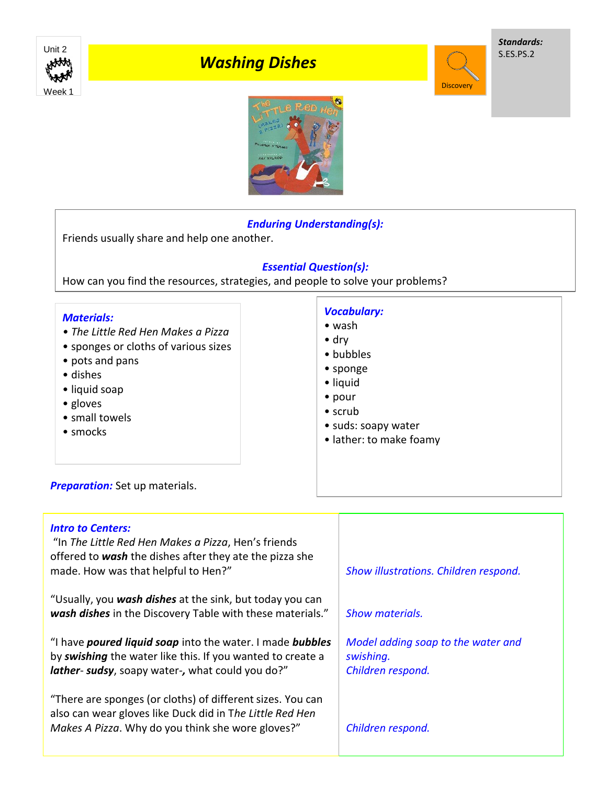

# *Washing Dishes*

*Standards:* S.ES.PS.2

**Discovery** 



## *Enduring Understanding(s):*

Friends usually share and help one another.

### *Essential Question(s):*

How can you find the resources, strategies, and people to solve your problems?

| <b>Materials:</b>                    | <b>Vocabulary:</b>      |
|--------------------------------------|-------------------------|
| • The Little Red Hen Makes a Pizza   | $\bullet$ wash          |
| • sponges or cloths of various sizes | $\bullet$ dry           |
| • pots and pans                      | • bubbles               |
| • dishes                             | • sponge                |
| • liquid soap                        | · liquid                |
| • gloves                             | $\bullet$ pour          |
| • small towels                       | $\bullet$ scrub         |
| • smocks                             | • suds: soapy water     |
| Preparation: Set up materials.       | • lather: to make foamy |

### *Intro to Centers:*

"In *The Little Red Hen Makes a Pizza*, Hen's friends offered to *wash* the dishes after they ate the pizza she made. How was that helpful to Hen?"

"Usually, you *wash dishes* at the sink, but today you can *wash dishes* in the Discovery Table with these materials."

"I have *poured liquid soap* into the water. I made *bubbles*  by *swishing* the water like this. If you wanted to create a *lather*- *sudsy*, soapy water-*,* what could you do?"

"There are sponges (or cloths) of different sizes. You can also can wear gloves like Duck did in T*he Little Red Hen Makes A Pizza*. Why do you think she wore gloves?"

*Show illustrations. Children respond.* 

*Show materials.*

*Model adding soap to the water and swishing. Children respond.*

*Children respond.*